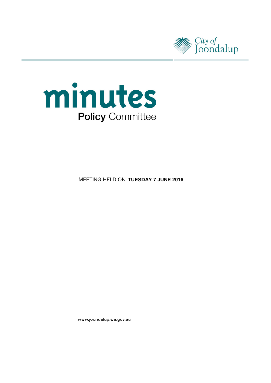



**MEETING HELD ON TUESDAY 7 JUNE 2016** 

www.joondalup.wa.gov.au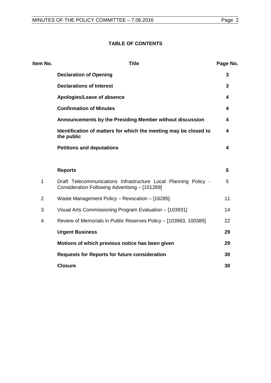# **TABLE OF CONTENTS**

| Item No.       | <b>Title</b>                                                                                                      | Page No. |
|----------------|-------------------------------------------------------------------------------------------------------------------|----------|
|                | <b>Declaration of Opening</b>                                                                                     | 3        |
|                | <b>Declarations of Interest</b>                                                                                   | 3        |
|                | Apologies/Leave of absence                                                                                        | 4        |
|                | <b>Confirmation of Minutes</b>                                                                                    | 4        |
|                | Announcements by the Presiding Member without discussion                                                          | 4        |
|                | Identification of matters for which the meeting may be closed to<br>the public                                    | 4        |
|                | <b>Petitions and deputations</b>                                                                                  | 4        |
|                |                                                                                                                   |          |
|                | <b>Reports</b>                                                                                                    | 5        |
| 1              | Draft Telecommunications Infrastructure Local Planning Policy -<br>Consideration Following Advertising - [101289] | 5        |
| $\overline{2}$ | Waste Management Policy - Revocation - [16285]                                                                    | 11       |
| 3              | Visual Arts Commissioning Program Evaluation - [103931]                                                           | 14       |
| 4              | Review of Memorials in Public Reserves Policy - [103963, 100385]                                                  | 22       |
|                | <b>Urgent Business</b>                                                                                            | 29       |
|                | Motions of which previous notice has been given                                                                   | 29       |
|                | <b>Requests for Reports for future consideration</b>                                                              | 30       |
|                | <b>Closure</b>                                                                                                    | 30       |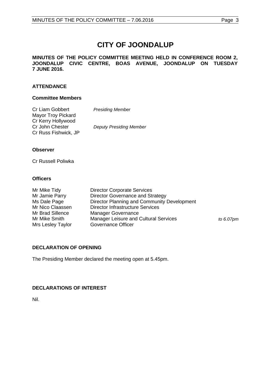# **CITY OF JOONDALUP**

**MINUTES OF THE POLICY COMMITTEE MEETING HELD IN CONFERENCE ROOM 2, JOONDALUP CIVIC CENTRE, BOAS AVENUE, JOONDALUP ON TUESDAY 7 JUNE 2016.**

#### **ATTENDANCE**

# **Committee Members**

| Cr Liam Gobbert      | <b>Presiding Member</b>        |
|----------------------|--------------------------------|
| Mayor Troy Pickard   |                                |
| Cr Kerry Hollywood   |                                |
| Cr John Chester      | <b>Deputy Presiding Member</b> |
| Cr Russ Fishwick, JP |                                |

#### **Observer**

Cr Russell Poliwka

#### **Officers**

| <b>Director Corporate Services</b>           |              |
|----------------------------------------------|--------------|
| Director Governance and Strategy             |              |
| Director Planning and Community Development  |              |
| <b>Director Infrastructure Services</b>      |              |
| <b>Manager Governance</b>                    |              |
| <b>Manager Leisure and Cultural Services</b> | to $6.07$ pm |
| <b>Governance Officer</b>                    |              |
|                                              |              |

# <span id="page-2-0"></span>**DECLARATION OF OPENING**

The Presiding Member declared the meeting open at 5.45pm.

# <span id="page-2-1"></span>**DECLARATIONS OF INTEREST**

Nil.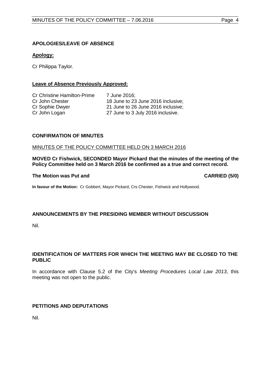# <span id="page-3-0"></span>**APOLOGIES/LEAVE OF ABSENCE**

# **Apology:**

Cr Philippa Taylor.

# **Leave of Absence Previously Approved:**

Cr Christine Hamilton-Prime 7 June 2016;<br>Cr John Chester 18 June to 23

Cr John Chester 18 June to 23 June 2016 inclusive;<br>Cr Sophie Dwyer 21 June to 26 June 2016 inclusive; Cr Sophie Dwyer 21 June to 26 June 2016 inclusive;<br>
Cr John Logan 27 June to 3 July 2016 inclusive. 27 June to 3 July 2016 inclusive.

#### <span id="page-3-1"></span>**CONFIRMATION OF MINUTES**

#### MINUTES OF THE POLICY COMMITTEE HELD ON 3 MARCH 2016

**MOVED Cr Fishwick, SECONDED Mayor Pickard that the minutes of the meeting of the Policy Committee held on 3 March 2016 be confirmed as a true and correct record.**

#### **The Motion was Put and CARRIED (5/0)**

**In favour of the Motion:** Cr Gobbert, Mayor Pickard, Crs Chester, Fishwick and Hollywood.

#### <span id="page-3-2"></span>**ANNOUNCEMENTS BY THE PRESIDING MEMBER WITHOUT DISCUSSION**

Nil.

# <span id="page-3-3"></span>**IDENTIFICATION OF MATTERS FOR WHICH THE MEETING MAY BE CLOSED TO THE PUBLIC**

In accordance with Clause 5.2 of the City's *Meeting Procedures Local Law 2013*, this meeting was not open to the public.

#### <span id="page-3-4"></span>**PETITIONS AND DEPUTATIONS**

Nil.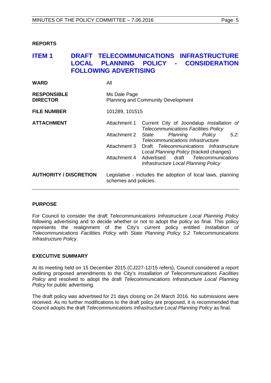#### <span id="page-4-0"></span>**REPORTS**

# <span id="page-4-1"></span>**ITEM 1 DRAFT TELECOMMUNICATIONS INFRASTRUCTURE LOCAL PLANNING POLICY - CONSIDERATION FOLLOWING ADVERTISING**

| <b>WARD</b>                           | All                                                                                  |                                                                                                                                                                                                                                                                                                                                           |
|---------------------------------------|--------------------------------------------------------------------------------------|-------------------------------------------------------------------------------------------------------------------------------------------------------------------------------------------------------------------------------------------------------------------------------------------------------------------------------------------|
| <b>RESPONSIBLE</b><br><b>DIRECTOR</b> | Ms Dale Page<br><b>Planning and Community Development</b>                            |                                                                                                                                                                                                                                                                                                                                           |
| <b>FILE NUMBER</b>                    | 101289, 101515                                                                       |                                                                                                                                                                                                                                                                                                                                           |
| <b>ATTACHMENT</b>                     | Attachment 1<br>Attachment 2<br>Attachment 3<br>Attachment 4                         | Current City of Joondalup Installation of<br><b>Telecommunications Facilities Policy</b><br>Planning<br>5.2:<br>State<br>Policy<br>Telecommunications Infrastructure<br>Draft Telecommunications Infrastructure<br>Local Planning Policy (tracked changes)<br>Advertised draft Telecommunications<br>Infrastructure Local Planning Policy |
| <b>AUTHORITY / DISCRETION</b>         | Legislative - includes the adoption of local laws, planning<br>schemes and policies. |                                                                                                                                                                                                                                                                                                                                           |

#### **PURPOSE**

For Council to consider the draft *Telecommunications Infrastructure Local Planning Policy* following advertising and to decide whether or not to adopt the policy as final. This policy represents the realignment of the City's current policy entitled *Installation of Telecommunications Facilities Policy* with *State Planning Policy 5.2 Telecommunications Infrastructure Policy*.

#### **EXECUTIVE SUMMARY**

At its meeting held on 15 December 2015 (CJ227-12/15 refers), Council considered a report outlining proposed amendments to the City's *Installation of Telecommunications Facilities Policy* and resolved to adopt the draft *Telecommunications Infrastructure Local Planning Policy* for public advertising.

The draft policy was advertised for 21 days closing on 24 March 2016. No submissions were received. As no further modifications to the draft policy are proposed, it is recommended that Council adopts the draft *Telecommunications Infrastructure Local Planning Policy* as final.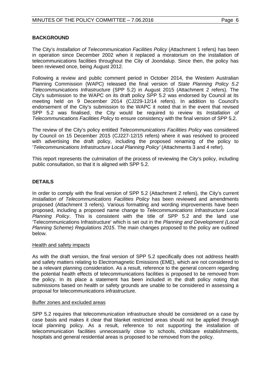# **BACKGROUND**

The City's *Installation of Telecommunication Facilities Policy* (Attachment 1 refers) has been in operation since December 2002 when it replaced a moratorium on the installation of telecommunications facilities throughout the City of Joondalup. Since then, the policy has been reviewed once, being August 2012.

Following a review and public comment period in October 2014, the Western Australian Planning Commission (WAPC) released the final version of *State Planning Policy 5.2 Telecommunications Infrastructure* (SPP 5.2) in August 2015 (Attachment 2 refers). The City's submission to the WAPC on its draft policy SPP 5.2 was endorsed by Council at its meeting held on 9 December 2014 (CJ229-12/14 refers). In addition to Council's endorsement of the City's submission to the WAPC it noted that in the event that revised SPP 5.2 was finalised, the City would be required to review its *Installation of Telecommunications Facilities Policy* to ensure consistency with the final version of SPP 5.2.

The review of the City's policy entitled *Telecommunications Facilities Policy* was considered by Council on 15 December 2015 (CJ227-12/15 refers) where it was resolved to proceed with advertising the draft policy, including the proposed renaming of the policy to '*Telecommunications Infrastructure Local Planning Policy'* (Attachments 3 and 4 refer).

This report represents the culmination of the process of reviewing the City's policy, including public consultation, so that it is aligned with SPP 5.2.

# **DETAILS**

In order to comply with the final version of SPP 5.2 (Attachment 2 refers), the City's current *Installation of Telecommunications Facilities Policy* has been reviewed and amendments proposed (Attachment 3 refers). Various formatting and wording improvements have been proposed, including a proposed name change to *Telecommunications Infrastructure Local Planning Policy*. This is consistent with the title of SPP 5.2 and the land use 'Telecommunications Infrastructure' which is set out in the *Planning and Development (Local Planning Scheme) Regulations 2015*. The main changes proposed to the policy are outlined below.

#### Health and safety impacts

As with the draft version, the final version of SPP 5.2 specifically does not address health and safety matters relating to Electromagnetic Emissions (EME), which are not considered to be a relevant planning consideration. As a result, reference to the general concern regarding the potential health effects of telecommunications facilities is proposed to be removed from the policy. In its place a statement has been included in the draft policy noting that submissions based on health or safety grounds are unable to be considered in assessing a proposal for telecommunications infrastructure.

#### Buffer zones and excluded areas

SPP 5.2 requires that telecommunication infrastructure should be considered on a case by case basis and makes it clear that blanket restricted areas should not be applied through local planning policy. As a result, reference to not supporting the installation of telecommunication facilities unnecessarily close to schools, childcare establishments, hospitals and general residential areas is proposed to be removed from the policy.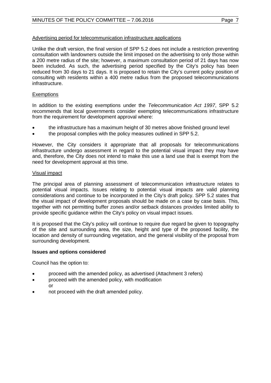#### Advertising period for telecommunication infrastructure applications

Unlike the draft version, the final version of SPP 5.2 does not include a restriction preventing consultation with landowners outside the limit imposed on the advertising to only those within a 200 metre radius of the site; however, a maximum consultation period of 21 days has now been included. As such, the advertising period specified by the City's policy has been reduced from 30 days to 21 days. It is proposed to retain the City's current policy position of consulting with residents within a 400 metre radius from the proposed telecommunications infrastructure.

#### **Exemptions**

In addition to the existing exemptions under the *Telecommunication Act 1997*, SPP 5.2 recommends that local governments consider exempting telecommunications infrastructure from the requirement for development approval where:

- the infrastructure has a maximum height of 30 metres above finished ground level
- the proposal complies with the policy measures outlined in SPP 5.2.

However, the City considers it appropriate that all proposals for telecommunications infrastructure undergo assessment in regard to the potential visual impact they may have and, therefore, the City does not intend to make this use a land use that is exempt from the need for development approval at this time.

#### Visual impact

The principal area of planning assessment of telecommunication infrastructure relates to potential visual impacts. Issues relating to potential visual impacts are valid planning considerations and continue to be incorporated in the City's draft policy. SPP 5.2 states that the visual impact of development proposals should be made on a case by case basis. This, together with not permitting buffer zones and/or setback distances provides limited ability to provide specific guidance within the City's policy on visual impact issues.

It is proposed that the City's policy will continue to require due regard be given to topography of the site and surrounding area, the size, height and type of the proposed facility, the location and density of surrounding vegetation, and the general visibility of the proposal from surrounding development.

#### **Issues and options considered**

Council has the option to:

- proceed with the amended policy, as advertised (Attachment 3 refers)
- proceed with the amended policy, with modification or
- not proceed with the draft amended policy.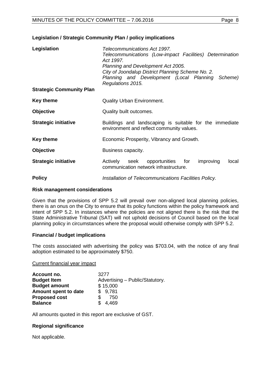#### **Legislation / Strategic Community Plan / policy implications**

| Legislation                     | Telecommunications Act 1997.<br>Telecommunications (Low-impact Facilities) Determination<br>Act 1997.<br>Planning and Development Act 2005.<br>City of Joondalup District Planning Scheme No. 2.<br>Planning and Development (Local Planning<br>Scheme)<br>Regulations 2015. |  |
|---------------------------------|------------------------------------------------------------------------------------------------------------------------------------------------------------------------------------------------------------------------------------------------------------------------------|--|
| <b>Strategic Community Plan</b> |                                                                                                                                                                                                                                                                              |  |
| <b>Key theme</b>                | <b>Quality Urban Environment.</b>                                                                                                                                                                                                                                            |  |
| <b>Objective</b>                | Quality built outcomes.                                                                                                                                                                                                                                                      |  |
| <b>Strategic initiative</b>     | Buildings and landscaping is suitable for the immediate<br>environment and reflect community values.                                                                                                                                                                         |  |
| <b>Key theme</b>                | Economic Prosperity, Vibrancy and Growth.                                                                                                                                                                                                                                    |  |
| <b>Objective</b>                | Business capacity.                                                                                                                                                                                                                                                           |  |
| <b>Strategic initiative</b>     | seek opportunities for<br>improving<br>local<br>Actively<br>communication network infrastructure.                                                                                                                                                                            |  |
| <b>Policy</b>                   | Installation of Telecommunications Facilities Policy.                                                                                                                                                                                                                        |  |

#### **Risk management considerations**

Given that the provisions of SPP 5.2 will prevail over non-aligned local planning policies, there is an onus on the City to ensure that its policy functions within the policy framework and intent of SPP 5.2. In instances where the policies are not aligned there is the risk that the State Administrative Tribunal (SAT) will not uphold decisions of Council based on the local planning policy in circumstances where the proposal would otherwise comply with SPP 5.2.

#### **Financial / budget implications**

The costs associated with advertising the policy was \$703.04, with the notice of any final adoption estimated to be approximately \$750.

Current financial year impact

| Account no.          | 3277                            |
|----------------------|---------------------------------|
| <b>Budget Item</b>   | Advertising - Public/Statutory. |
| <b>Budget amount</b> | \$15,000                        |
| Amount spent to date | \$9,781                         |
| <b>Proposed cost</b> | \$.<br>750                      |
| <b>Balance</b>       | 4,469<br>\$.                    |

All amounts quoted in this report are exclusive of GST.

#### **Regional significance**

Not applicable.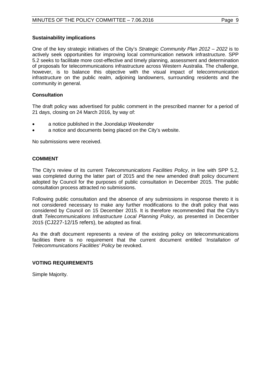#### **Sustainability implications**

One of the key strategic initiatives of the City's *Strategic Community Plan 2012 – 2022* is to actively seek opportunities for improving local communication network infrastructure. SPP 5.2 seeks to facilitate more cost-effective and timely planning, assessment and determination of proposals for telecommunications infrastructure across Western Australia. The challenge, however, is to balance this objective with the visual impact of telecommunication infrastructure on the public realm, adjoining landowners, surrounding residents and the community in general.

#### **Consultation**

The draft policy was advertised for public comment in the prescribed manner for a period of 21 days, closing on 24 March 2016, by way of:

- a notice published in the *Joondalup Weekender*
- a notice and documents being placed on the City's website.

No submissions were received.

#### **COMMENT**

The City's review of its current *Telecommunications Facilities Policy*, in line with SPP 5.2, was completed during the latter part of 2015 and the new amended draft policy document adopted by Council for the purposes of public consultation in December 2015. The public consultation process attracted no submissions.

Following public consultation and the absence of any submissions in response thereto it is not considered necessary to make any further modifications to the draft policy that was considered by Council on 15 December 2015. It is therefore recommended that the City's draft *Telecommunications Infrastructure Local Planning Policy*, as presented in December 2015 (CJ227-12/15 refers), be adopted as final.

As the draft document represents a review of the existing policy on telecommunications facilities there is no requirement that the current document entitled '*Installation of Telecommunications Facilities' Policy* be revoked.

#### **VOTING REQUIREMENTS**

Simple Majority.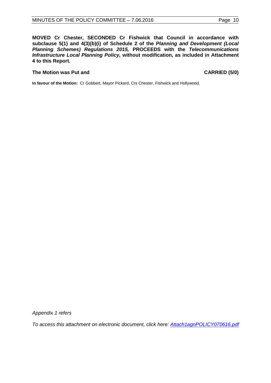**MOVED Cr Chester, SECONDED Cr Fishwick that Council in accordance with subclause 5(1) and 4(3)(b)(i) of Schedule 2 of the** *Planning and Development (Local Planning Schemes) Regulations 2015,* **PROCEEDS with the** *Telecommunications Infrastructure Local Planning Policy,* **without modification, as included in Attachment 4 to this Report.** 

#### **The Motion was Put and CARRIED (5/0)**

**In favour of the Motion:** Cr Gobbert, Mayor Pickard, Crs Chester, Fishwick and Hollywood.

*Appendix 1 refers*

*[To access this attachment on electronic document, click here:](http://www.joondalup.wa.gov.au/files/committees/POLI/2016/Attach1agnPOLICY070616.pdf) Attach1agnPOLICY070616.pdf*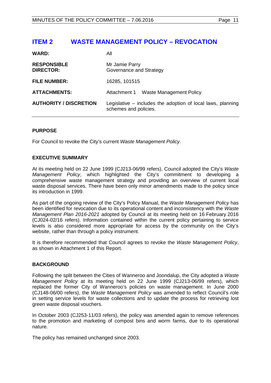# <span id="page-10-0"></span>**ITEM 2 WASTE MANAGEMENT POLICY – REVOCATION**

| <b>WARD:</b>                           | All                                                                                    |  |
|----------------------------------------|----------------------------------------------------------------------------------------|--|
| <b>RESPONSIBLE</b><br><b>DIRECTOR:</b> | Mr Jamie Parry<br>Governance and Strategy                                              |  |
| <b>FILE NUMBER:</b>                    | 16285, 101515                                                                          |  |
| <b>ATTACHMENTS:</b>                    | <b>Waste Management Policy</b><br>Attachment 1                                         |  |
| <b>AUTHORITY / DISCRETION</b>          | Legislative $-$ includes the adoption of local laws, planning<br>schemes and policies. |  |

#### **PURPOSE**

For Council to revoke the City's current *Waste Management Policy*.

# **EXECUTIVE SUMMARY**

At its meeting held on 22 June 1999 (CJ213-06/99 refers), Council adopted the City's *Waste Management Policy*, which highlighted the City's commitment to developing a comprehensive waste management strategy and providing an overview of current local waste disposal services. There have been only minor amendments made to the policy since its introduction in 1999.

As part of the ongoing review of the City's Policy Manual, the *Waste Management Policy* has been identified for revocation due to its operational content and inconsistency with the *Waste Management Plan 2016-2021* adopted by Council at its meeting held on 16 February 2016 (CJ024-02/16 refers). Information contained within the current policy pertaining to service levels is also considered more appropriate for access by the community on the City's website, rather than through a policy instrument.

It is therefore recommended that Council agrees to revoke the *Waste Management Policy*, as shown in Attachment 1 of this Report.

#### **BACKGROUND**

Following the split between the Cities of Wanneroo and Joondalup, the City adopted a *Waste Management Policy* at its meeting held on 22 June 1999 (CJ213-06/99 refers), which replaced the former City of Wanneroo's policies on waste management. In June 2000 (CJ148-06/00 refers), the *Waste Management Policy* was amended to reflect Council's role in setting service levels for waste collections and to update the process for retrieving lost green waste disposal vouchers.

In October 2003 (CJ253-11/03 refers), the policy was amended again to remove references to the promotion and marketing of compost bins and worm farms, due to its operational nature.

The policy has remained unchanged since 2003.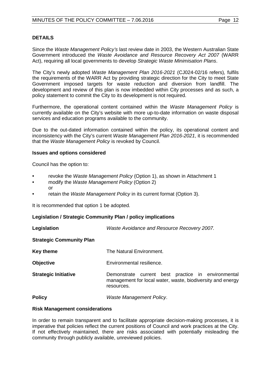# **DETAILS**

Since the *Waste Management Policy's* last review date in 2003, the Western Australian State Government introduced the *Waste Avoidance and Resource Recovery Act 2007* (WARR Act), requiring all local governments to develop *Strategic Waste Minimisation Plans*.

The City's newly adopted *Waste Management Plan 2016-2021* (CJ024-02/16 refers)*,* fulfils the requirements of the WARR Act by providing strategic direction for the City to meet State Government imposed targets for waste reduction and diversion from landfill. The development and review of this plan is now imbedded within City processes and as such, a policy statement to commit the City to its development is not required.

Furthermore, the operational content contained within the *Waste Management Policy* is currently available on the City's website with more up-to-date information on waste disposal services and education programs available to the community.

Due to the out-dated information contained within the policy, its operational content and inconsistency with the City's current *Waste Management Plan 2016-2021*, it is recommended that the *Waste Management Policy* is revoked by Council.

#### **Issues and options considered**

Council has the option to:

- revoke the *Waste Management Policy* (Option 1), as shown in Attachment 1
- modify the *Waste Management Policy* (Option 2) or
- retain the *Waste Management Policy* in its current format (Option 3).

It is recommended that option 1 be adopted.

#### **Legislation / Strategic Community Plan / policy implications**

| Legislation                     | Waste Avoidance and Resource Recovery 2007.                                                                                    |  |  |
|---------------------------------|--------------------------------------------------------------------------------------------------------------------------------|--|--|
| <b>Strategic Community Plan</b> |                                                                                                                                |  |  |
| <b>Key theme</b>                | The Natural Environment.                                                                                                       |  |  |
| <b>Objective</b>                | Environmental resilience.                                                                                                      |  |  |
| <b>Strategic Initiative</b>     | Demonstrate current best practice in environmental<br>management for local water, waste, biodiversity and energy<br>resources. |  |  |
| <b>Policy</b>                   | Waste Management Policy.                                                                                                       |  |  |

#### **Risk Management considerations**

In order to remain transparent and to facilitate appropriate decision-making processes, it is imperative that policies reflect the current positions of Council and work practices at the City. If not effectively maintained, there are risks associated with potentially misleading the community through publicly available, unreviewed policies.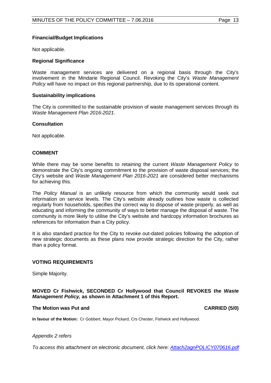# **Financial/Budget Implications**

Not applicable.

#### **Regional Significance**

Waste management services are delivered on a regional basis through the City's involvement in the Mindarie Regional Council. Revoking the City's *Waste Management Policy* will have no impact on this regional partnership, due to its operational content.

#### **Sustainability implications**

The City is committed to the sustainable provision of waste management services through its *Waste Management Plan 2016-2021*.

#### **Consultation**

Not applicable.

#### **COMMENT**

While there may be some benefits to retaining the current *Waste Management Policy* to demonstrate the City's ongoing commitment to the provision of waste disposal services; the City's website and *Waste Management Plan 2016-2021* are considered better mechanisms for achieving this.

The *Policy Manual* is an unlikely resource from which the community would seek out information on service levels. The City's website already outlines how waste is collected regularly from households, specifies the correct way to dispose of waste properly, as well as educating and informing the community of ways to better manage the disposal of waste. The community is more likely to utilise the City's website and hardcopy information brochures as references for information than a City policy.

It is also standard practice for the City to revoke out-dated policies following the adoption of new strategic documents as these plans now provide strategic direction for the City, rather than a policy format.

#### **VOTING REQUIREMENTS**

Simple Majority.

#### **MOVED Cr Fishwick, SECONDED Cr Hollywood that Council REVOKES the** *Waste Management Policy,* **as shown in Attachment 1 of this Report.**

#### **The Motion was Put and CARRIED (5/0)**

**In favour of the Motion:** Cr Gobbert, Mayor Pickard, Crs Chester, Fishwick and Hollywood.

#### *Appendix 2 refers*

*[To access this attachment on electronic document, click here:](http://www.joondalup.wa.gov.au/files/committees/POLI/2016/Attach2agnPOLICY070616.pdf) Attach2agnPOLICY070616.pdf*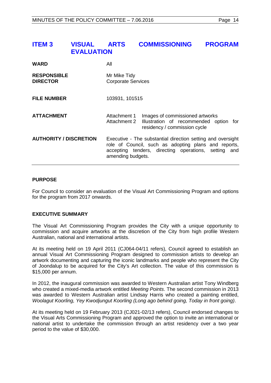<span id="page-13-0"></span>

| <b>ITEM3</b>                          | <b>VISUAL</b><br><b>EVALUATION</b> | <b>ARTS</b>                               | <b>COMMISSIONING</b>                                                                                                                                                        | <b>PROGRAM</b> |
|---------------------------------------|------------------------------------|-------------------------------------------|-----------------------------------------------------------------------------------------------------------------------------------------------------------------------------|----------------|
| <b>WARD</b>                           |                                    | All                                       |                                                                                                                                                                             |                |
| <b>RESPONSIBLE</b><br><b>DIRECTOR</b> |                                    | Mr Mike Tidy<br><b>Corporate Services</b> |                                                                                                                                                                             |                |
| <b>FILE NUMBER</b>                    |                                    | 103931, 101515                            |                                                                                                                                                                             |                |
| <b>ATTACHMENT</b>                     |                                    | Attachment 1<br><b>Attachment 2</b>       | Images of commissioned artworks<br>Illustration of recommended option for<br>residency / commission cycle                                                                   |                |
| <b>AUTHORITY / DISCRETION</b>         |                                    | amending budgets.                         | Executive - The substantial direction setting and oversight<br>role of Council, such as adopting plans and reports,<br>accepting tenders, directing operations, setting and |                |

#### **PURPOSE**

For Council to consider an evaluation of the Visual Art Commissioning Program and options for the program from 2017 onwards.

### **EXECUTIVE SUMMARY**

The Visual Art Commissioning Program provides the City with a unique opportunity to commission and acquire artworks at the discretion of the City from high profile Western Australian, national and international artists.

At its meeting held on 19 April 2011 (CJ064-04/11 refers), Council agreed to establish an annual Visual Art Commissioning Program designed to commission artists to develop an artwork documenting and capturing the iconic landmarks and people who represent the City of Joondalup to be acquired for the City's Art collection. The value of this commission is \$15,000 per annum.

In 2012, the inaugural commission was awarded to Western Australian artist Tony Windberg who created a mixed-media artwork entitled *Meeting Points*. The second commission in 2013 was awarded to Western Australian artist Lindsay Harris who created a painting entitled, *Woolagut Koorling, Yey Kwodjungut Koorling (Long ago behind going, Today in front going)*.

At its meeting held on 19 February 2013 (CJ021-02/13 refers), Council endorsed changes to the Visual Arts Commissioning Program and approved the option to invite an international or national artist to undertake the commission through an artist residency over a two year period to the value of \$30,000.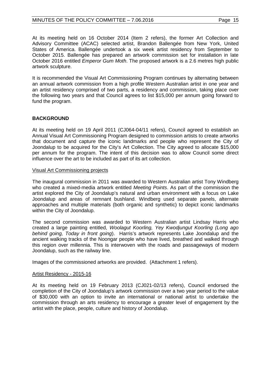At its meeting held on 16 October 2014 (Item 2 refers), the former Art Collection and Advisory Committee (ACAC) selected artist, Brandon Ballengée from New York, United States of America. Ballengée undertook a six week artist residency from September to October 2015. Ballengée has prepared an artwork commission set for installation in late October 2016 entitled *Emperor Gum Moth*. The proposed artwork is a 2.6 metres high public artwork sculpture.

It is recommended the Visual Art Commissioning Program continues by alternating between an annual artwork commission from a high profile Western Australian artist in one year and an artist residency comprised of two parts, a residency and commission, taking place over the following two years and that Council agrees to list \$15,000 per annum going forward to fund the program.

# **BACKGROUND**

At its meeting held on 19 April 2011 (CJ064-04/11 refers), Council agreed to establish an Annual Visual Art Commissioning Program designed to commission artists to create artworks that document and capture the iconic landmarks and people who represent the City of Joondalup to be acquired for the City's Art Collection. The City agreed to allocate \$15,000 per annum for the program. The intent of this decision was to allow Council some direct influence over the art to be included as part of its art collection.

#### Visual Art Commissioning projects

The inaugural commission in 2011 was awarded to Western Australian artist Tony Windberg who created a mixed-media artwork entitled *Meeting Points*. As part of the commission the artist explored the City of Joondalup's natural and urban environment with a focus on Lake Joondalup and areas of remnant bushland. Windberg used separate panels, alternate approaches and multiple materials (both organic and synthetic) to depict iconic landmarks within the City of Joondalup.

The second commission was awarded to Western Australian artist Lindsay Harris who created a large painting entitled, *Woolagut Koorling, Yey Kwodjungut Koorling (Long ago behind going, Today in front going*). Harris's artwork represents Lake Joondalup and the ancient walking tracks of the Noongar people who have lived, breathed and walked through this region over millennia. This is interwoven with the roads and passageways of modern Joondalup, such as the railway line.

Images of the commissioned artworks are provided. (Attachment 1 refers).

#### Artist Residency - 2015-16

At its meeting held on 19 February 2013 (CJ021-02/13 refers), Council endorsed the completion of the City of Joondalup's artwork commission over a two year period to the value of \$30,000 with an option to invite an international or national artist to undertake the commission through an arts residency to encourage a greater level of engagement by the artist with the place, people, culture and history of Joondalup.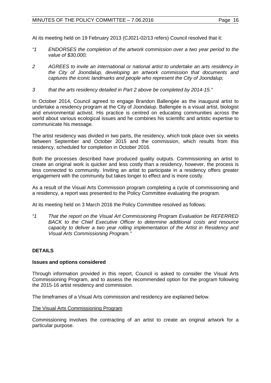At its meeting held on 19 February 2013 (CJ021-02/13 refers) Council resolved that it:

- *"1 ENDORSES the completion of the artwork commission over a two year period to the value of \$30,000;*
- *2 AGREES to invite an international or national artist to undertake an arts residency in the City of Joondalup, developing an artwork commission that documents and captures the iconic landmarks and people who represent the City of Joondalup;*
- *3 that the arts residency detailed in Part 2 above be completed by 2014-15."*

In October 2014, Council agreed to engage Brandon Ballengée as the inaugural artist to undertake a residency program at the City of Joondalup. Ballengée is a visual artist, biologist and environmental activist. His practice is centred on educating communities across the world about various ecological issues and he combines his scientific and artistic expertise to communicate his message.

The artist residency was divided in two parts, the residency, which took place over six weeks between September and October 2015 and the commission, which results from this residency, scheduled for completion in October 2016.

Both the processes described have produced quality outputs. Commissioning an artist to create an original work is quicker and less costly than a residency, however, the process is less connected to community. Inviting an artist to participate in a residency offers greater engagement with the community but takes longer to effect and is more costly.

As a result of the Visual Arts Commission program completing a cycle of commissioning and a residency, a report was presented to the Policy Committee evaluating the program.

At its meeting held on 3 March 2016 the Policy Committee resolved as follows:

*"1 That the report on the Visual Art Commissioning Program Evaluation be REFERRED BACK to the Chief Executive Officer to determine additional costs and resource capacity to deliver a two year rolling implementation of the Artist in Residency and Visual Arts Commissioning Program."*

# **DETAILS**

#### **Issues and options considered**

Through information provided in this report, Council is asked to consider the Visual Arts Commissioning Program, and to assess the recommended option for the program following the 2015-16 artist residency and commission.

The timeframes of a Visual Arts commission and residency are explained below.

#### The Visual Arts Commissioning Program

Commissioning involves the contracting of an artist to create an original artwork for a particular purpose.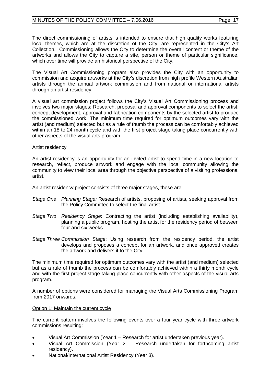The direct commissioning of artists is intended to ensure that high quality works featuring local themes, which are at the discretion of the City, are represented in the City's Art Collection. Commissioning allows the City to determine the overall content or theme of the artworks and allows the City to capture a site, person or theme of particular significance, which over time will provide an historical perspective of the City.

The Visual Art Commissioning program also provides the City with an opportunity to commission and acquire artworks at the City's discretion from high profile Western Australian artists through the annual artwork commission and from national or international artists through an artist residency.

A visual art commission project follows the City's Visual Art Commissioning process and involves two major stages: Research, proposal and approval components to select the artist; concept development, approval and fabrication components by the selected artist to produce the commissioned work. The minimum time required for optimum outcomes vary with the artist (and medium) selected but as a rule of thumb the process can be comfortably achieved within an 18 to 24 month cycle and with the first project stage taking place concurrently with other aspects of the visual arts program.

# Artist residency

An artist residency is an opportunity for an invited artist to spend time in a new location to research, reflect, produce artwork and engage with the local community allowing the community to view their local area through the objective perspective of a visiting professional artist.

An artist residency project consists of three major stages, these are:

- *Stage One Planning Stage:* Research of artists, proposing of artists, seeking approval from the Policy Committee to select the final artist.
- *Stage Two Residency Stage*: Contracting the artist (including establishing availability), planning a public program, hosting the artist for the residency period of between four and six weeks.
- *Stage Three Commission Stage*: Using research from the residency period, the artist develops and proposes a concept for an artwork, and once approved creates the artwork and delivers it to the City.

The minimum time required for optimum outcomes vary with the artist (and medium) selected but as a rule of thumb the process can be comfortably achieved within a thirty month cycle and with the first project stage taking place concurrently with other aspects of the visual arts program.

A number of options were considered for managing the Visual Arts Commissioning Program from 2017 onwards.

#### Option 1: Maintain the current cycle

The current pattern involves the following events over a four year cycle with three artwork commissions resulting:

- Visual Art Commission (Year 1 Research for artist undertaken previous year).
- Visual Art Commission (Year 2 Research undertaken for forthcoming artist residency).
- National/International Artist Residency (Year 3).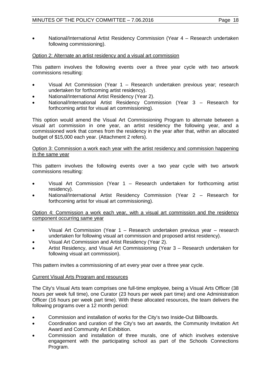• National/International Artist Residency Commission (Year 4 – Research undertaken following commissioning).

# Option 2: Alternate an artist residency and a visual art commission

This pattern involves the following events over a three year cycle with two artwork commissions resulting:

- Visual Art Commission (Year 1 Research undertaken previous year; research undertaken for forthcoming artist residency).
- National/International Artist Residency (Year 2).
- National/International Artist Residency Commission (Year 3 Research for forthcoming artist for visual art commissioning).

This option would amend the Visual Art Commissioning Program to alternate between a visual art commission in one year, an artist residency the following year, and a commissioned work that comes from the residency in the year after that, within an allocated budget of \$15,000 each year. (Attachment 2 refers).

#### Option 3: Commission a work each year with the artist residency and commission happening in the same year

This pattern involves the following events over a two year cycle with two artwork commissions resulting:

- Visual Art Commission (Year 1 Research undertaken for forthcoming artist residency).
- National/International Artist Residency Commission (Year 2 Research for forthcoming artist for visual art commissioning).

#### Option 4: Commission a work each year, with a visual art commission and the residency component occurring same year

- Visual Art Commission (Year 1 Research undertaken previous year research undertaken for following visual art commission and proposed artist residency).
- Visual Art Commission and Artist Residency (Year 2).
- Artist Residency, and Visual Art Commissioning (Year 3 Research undertaken for following visual art commission).

This pattern invites a commissioning of art every year over a three year cycle.

#### Current Visual Arts Program and resources

The City's Visual Arts team comprises one full-time employee, being a Visual Arts Officer (38 hours per week full time), one Curator (23 hours per week part time) and one Administration Officer (16 hours per week part time). With these allocated resources, the team delivers the following programs over a 12 month period:

- Commission and installation of works for the City's two Inside-Out Billboards.
- Coordination and curation of the City's two art awards, the Community Invitation Art Award and Community Art Exhibition.
- Commission and installation of three murals, one of which involves extensive engagement with the participating school as part of the Schools Connections Program.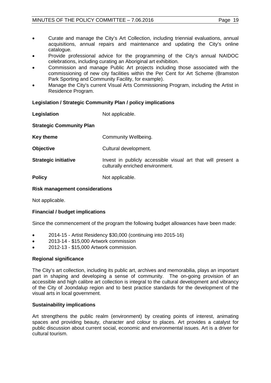- Curate and manage the City's Art Collection, including triennial evaluations, annual acquisitions, annual repairs and maintenance and updating the City's online catalogue.
- Provide professional advice for the programming of the City's annual NAIDOC celebrations, including curating an Aboriginal art exhibition.
- Commission and manage Public Art projects including those associated with the commissioning of new city facilities within the Per Cent for Art Scheme (Bramston Park Sporting and Community Facility, for example).
- Manage the City's current Visual Arts Commissioning Program, including the Artist in Residence Program.

# **Legislation / Strategic Community Plan / policy implications**

| Legislation                     | Not applicable.                                                                                  |  |
|---------------------------------|--------------------------------------------------------------------------------------------------|--|
| <b>Strategic Community Plan</b> |                                                                                                  |  |
| <b>Key theme</b>                | Community Wellbeing.                                                                             |  |
| <b>Objective</b>                | Cultural development.                                                                            |  |
| <b>Strategic initiative</b>     | Invest in publicly accessible visual art that will present a<br>culturally enriched environment. |  |
| <b>Policy</b>                   | Not applicable.                                                                                  |  |

# **Risk management considerations**

Not applicable.

# **Financial / budget implications**

Since the commencement of the program the following budget allowances have been made:

- 2014-15 Artist Residency \$30,000 (continuing into 2015-16)
- 2013-14 \$15,000 Artwork commission
- 2012-13 \$15,000 Artwork commission.

#### **Regional significance**

The City's art collection, including its public art, archives and memorabilia, plays an important part in shaping and developing a sense of community. The on-going provision of an accessible and high calibre art collection is integral to the cultural development and vibrancy of the City of Joondalup region and to best practice standards for the development of the visual arts in local government.

#### **Sustainability implications**

Art strengthens the public realm (environment) by creating points of interest, animating spaces and providing beauty, character and colour to places. Art provides a catalyst for public discussion about current social, economic and environmental issues. Art is a driver for cultural tourism.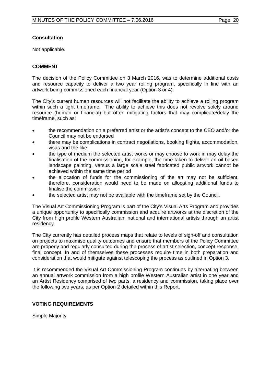# **Consultation**

Not applicable.

# **COMMENT**

The decision of the Policy Committee on 3 March 2016, was to determine additional costs and resource capacity to deliver a two year rolling program, specifically in line with an artwork being commissioned each financial year (Option 3 or 4).

The City's current human resources will not facilitate the ability to achieve a rolling program within such a tight timeframe. The ability to achieve this does not revolve solely around resource (human or financial) but often mitigating factors that may complicate/delay the timeframe, such as:

- the recommendation on a preferred artist or the artist's concept to the CEO and/or the Council may not be endorsed
- there may be complications in contract negotiations, booking flights, accommodation, visas and the like
- the type of medium the selected artist works or may choose to work in may delay the finalisation of the commissioning, for example, the time taken to deliver an oil based landscape painting, versus a large scale steel fabricated public artwork cannot be achieved within the same time period
- the allocation of funds for the commissioning of the art may not be sufficient, therefore, consideration would need to be made on allocating additional funds to finalise the commission
- the selected artist may not be available with the timeframe set by the Council.

The Visual Art Commissioning Program is part of the City's Visual Arts Program and provides a unique opportunity to specifically commission and acquire artworks at the discretion of the City from high profile Western Australian, national and international artists through an artist residency.

The City currently has detailed process maps that relate to levels of sign-off and consultation on projects to maximise quality outcomes and ensure that members of the Policy Committee are properly and regularly consulted during the process of artist selection, concept response, final concept. In and of themselves these processes require time in both preparation and consideration that would mitigate against telescoping the process as outlined in Option 3.

It is recommended the Visual Art Commissioning Program continues by alternating between an annual artwork commission from a high profile Western Australian artist in one year and an Artist Residency comprised of two parts, a residency and commission, taking place over the following two years, as per Option 2 detailed within this Report.

#### **VOTING REQUIREMENTS**

Simple Majority.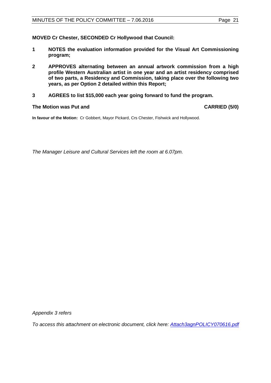- **1 NOTES the evaluation information provided for the Visual Art Commissioning program;**
- **2 APPROVES alternating between an annual artwork commission from a high profile Western Australian artist in one year and an artist residency comprised of two parts, a Residency and Commission, taking place over the following two years, as per Option 2 detailed within this Report;**
- **3 AGREES to list \$15,000 each year going forward to fund the program.**

#### **The Motion was Put and CARRIED (5/0)**

**In favour of the Motion:** Cr Gobbert, Mayor Pickard, Crs Chester, Fishwick and Hollywood.

*The Manager Leisure and Cultural Services left the room at 6.07pm.*

*Appendix 3 refers*

*To access [this attachment on electronic document, click here:](http://www.joondalup.wa.gov.au/files/committees/POLI/2016/Attach3agnPOLICY070616.pdf) Attach3agnPOLICY070616.pdf*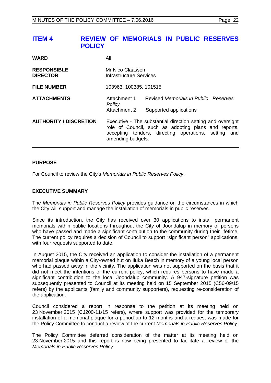# <span id="page-21-0"></span>**ITEM 4 REVIEW OF MEMORIALS IN PUBLIC RESERVES POLICY**

| <b>WARD</b>                           | All                                                                                                                                                                                              |                                                                |
|---------------------------------------|--------------------------------------------------------------------------------------------------------------------------------------------------------------------------------------------------|----------------------------------------------------------------|
| <b>RESPONSIBLE</b><br><b>DIRECTOR</b> | Mr Nico Claassen<br>Infrastructure Services                                                                                                                                                      |                                                                |
| <b>FILE NUMBER</b>                    | 103963, 100385, 101515                                                                                                                                                                           |                                                                |
| <b>ATTACHMENTS</b>                    | Attachment 1<br>Policy<br>Attachment 2                                                                                                                                                           | Revised Memorials in Public Reserves<br>Supported applications |
| <b>AUTHORITY / DISCRETION</b>         | Executive - The substantial direction setting and oversight<br>role of Council, such as adopting plans and reports,<br>accepting tenders, directing operations, setting and<br>amending budgets. |                                                                |

#### **PURPOSE**

For Council to review the City's *Memorials in Public Reserves Policy*.

#### **EXECUTIVE SUMMARY**

The *Memorials in Public Reserves Policy* provides guidance on the circumstances in which the City will support and manage the installation of memorials in public reserves.

Since its introduction, the City has received over 30 applications to install permanent memorials within public locations throughout the City of Joondalup in memory of persons who have passed and made a significant contribution to the community during their lifetime. The current policy requires a decision of Council to support "significant person" applications, with four requests supported to date.

In August 2015, the City received an application to consider the installation of a permanent memorial plaque within a City-owned hut on Iluka Beach in memory of a young local person who had passed away in the vicinity. The application was not supported on the basis that it did not meet the intentions of the current policy, which requires persons to have made a significant contribution to the local Joondalup community. A 947-signature petition was subsequently presented to Council at its meeting held on 15 September 2015 (C56-09/15 refers) by the applicants (family and community supporters), requesting re-consideration of the application.

Council considered a report in response to the petition at its meeting held on 23 November 2015 (CJ200-11/15 refers), where support was provided for the temporary installation of a memorial plaque for a period up to 12 months and a request was made for the Policy Committee to conduct a review of the current *Memorials in Public Reserves Policy*.

The Policy Committee deferred consideration of the matter at its meeting held on 23 November 2015 and this report is now being presented to facilitate a review of the *Memorials in Public Reserves Policy*.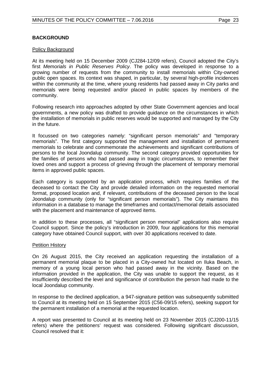# **BACKGROUND**

#### Policy Background

At its meeting held on 15 December 2009 (CJ284-12/09 refers), Council adopted the City's first *Memorials in Public Reserves Policy*. The policy was developed in response to a growing number of requests from the community to install memorials within City-owned public open spaces. Its context was shaped, in particular, by several high-profile incidences within the community at the time, where young residents had passed away in City parks and memorials were being requested and/or placed in public spaces by members of the community.

Following research into approaches adopted by other State Government agencies and local governments, a new policy was drafted to provide guidance on the circumstances in which the installation of memorials in public reserves would be supported and managed by the City in the future.

It focussed on two categories namely: "significant person memorials" and "temporary memorials". The first category supported the management and installation of permanent memorials to celebrate and commemorate the achievements and significant contributions of persons to the local Joondalup community. The second category provided opportunities for the families of persons who had passed away in tragic circumstances, to remember their loved ones and support a process of grieving through the placement of temporary memorial items in approved public spaces.

Each category is supported by an application process, which requires families of the deceased to contact the City and provide detailed information on the requested memorial format, proposed location and, if relevant, contributions of the deceased person to the local Joondalup community (only for "significant person memorials"). The City maintains this information in a database to manage the timeframes and contact/memorial details associated with the placement and maintenance of approved items.

In addition to these processes, all "significant person memorial" applications also require Council support. Since the policy's introduction in 2009, four applications for this memorial category have obtained Council support, with over 30 applications received to date.

#### Petition History

On 26 August 2015, the City received an application requesting the installation of a permanent memorial plaque to be placed in a City-owned hut located on Iluka Beach, in memory of a young local person who had passed away in the vicinity. Based on the information provided in the application, the City was unable to support the request, as it insufficiently described the level and significance of contribution the person had made to the local Joondalup community.

In response to the declined application, a 947-signature petition was subsequently submitted to Council at its meeting held on 15 September 2015 (C56-09/15 refers), seeking support for the permanent installation of a memorial at the requested location.

A report was presented to Council at its meeting held on 23 November 2015 (CJ200-11/15 refers) where the petitioners' request was considered. Following significant discussion, Council resolved that it: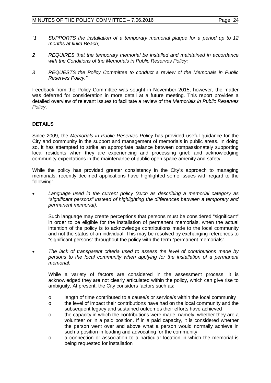- *"1 SUPPORTS the installation of a temporary memorial plaque for a period up to 12 months at Iluka Beach;*
- *2 REQUIRES that the temporary memorial be installed and maintained in accordance with the Conditions of the Memorials in Public Reserves Policy;*
- *3 REQUESTS the Policy Committee to conduct a review of the Memorials in Public Reserves Policy."*

Feedback from the Policy Committee was sought in November 2015, however, the matter was deferred for consideration in more detail at a future meeting. This report provides a detailed overview of relevant issues to facilitate a review of the *Memorials in Public Reserves Policy*.

# **DETAILS**

Since 2009, the *Memorials in Public Reserves Policy* has provided useful guidance for the City and community in the support and management of memorials in public areas. In doing so, it has attempted to strike an appropriate balance between compassionately supporting local residents when they are experiencing and processing grief; and acknowledging community expectations in the maintenance of public open space amenity and safety.

While the policy has provided greater consistency in the City's approach to managing memorials, recently declined applications have highlighted some issues with regard to the following:

• *Language used in the current policy (such as describing a memorial category as "significant persons" instead of highlighting the differences between a temporary and permanent memorial)*.

Such language may create perceptions that persons must be considered "significant" in order to be eligible for the installation of permanent memorials, when the actual intention of the policy is to acknowledge contributions made to the local community and not the status of an individual. This may be resolved by exchanging references to "significant persons" throughout the policy with the term "permanent memorials".

• *The lack of transparent criteria used to assess the level of contributions made by persons to the local community when applying for the installation of a permanent memorial.*

While a variety of factors are considered in the assessment process, it is acknowledged they are not clearly articulated within the policy, which can give rise to ambiguity. At present, the City considers factors such as:

- o length of time contributed to a cause/s or service/s within the local community
- o the level of impact their contributions have had on the local community and the subsequent legacy and sustained outcomes their efforts have achieved
- o the capacity in which the contributions were made, namely, whether they are a volunteer or in a paid position. If in a paid capacity, it is considered whether the person went over and above what a person would normally achieve in such a position in leading and advocating for the community
- o a connection or association to a particular location in which the memorial is being requested for installation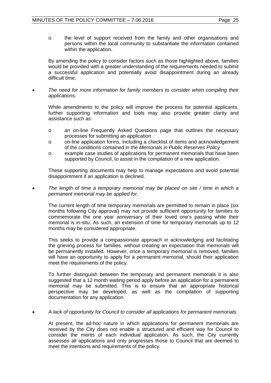o the level of support received from the family and other organisations and persons within the local community to substantiate the information contained within the application.

By amending the policy to consider factors such as those highlighted above, families would be provided with a greater understanding of the requirements needed to submit a successful application and potentially avoid disappointment during an already difficult time.

• *The need for more information for family members to consider when compiling their applications.* 

While amendments to the policy will improve the process for potential applicants, further supporting information and tools may also provide greater clarity and assistance such as:

- o an on-line Frequently Asked Questions page that outlines the necessary processes for submitting an application
- o on-line application forms, including a checklist of items and acknowledgement of the conditions contained in the *Memorials in Public Reserves Policy*
- o example case studies of applications for permanent memorials that have been supported by Council, to assist in the compilation of a new application.

These supporting documents may help to manage expectations and avoid potential disappointment if an application is declined.

• *The length of time a temporary memorial may be placed on site / time in which a permanent memorial may be applied for.*

The current length of time temporary memorials are permitted to remain in place (six months following City approval) may not provide sufficient opportunity for families to commemorate the one year anniversary of their loved one's passing while their memorial is in-situ. As such, an extension of time for temporary memorials up to 12 months may be considered appropriate.

This seeks to provide a compassionate approach in acknowledging and facilitating the grieving process for families, without creating an expectation that memorials will be permanently installed. However, once a temporary memorial is removed, families will have an opportunity to apply for a permanent memorial, should their application meet the requirements of the policy.

To further distinguish between the temporary and permanent memorials it is also suggested that a 12 month waiting period apply before an application for a permanent memorial may be submitted. This is to ensure that an appropriate historical perspective may be developed, as well as the compilation of supporting documentation for any application.

• *A lack of opportunity for Council to consider all applications for permanent memorials.*

At present, the ad-hoc nature in which applications for permanent memorials are received by the City does not enable a structured and efficient way for Council to consider the merits of each individual application. As such, the City currently assesses all applications and only progresses those to Council that are deemed to meet the intentions and requirements of the policy.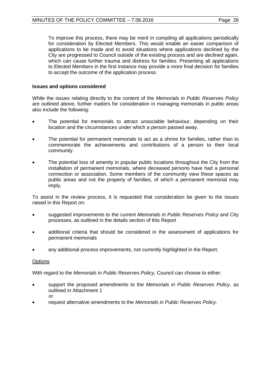To improve this process, there may be merit in compiling all applications periodically for consideration by Elected Members. This would enable an easier comparison of applications to be made and to avoid situations where applications declined by the City are progressed to Council outside of the existing process and are declined again, which can cause further trauma and distress for families. Presenting all applications to Elected Members in the first instance may provide a more final decision for families to accept the outcome of the application process.

#### **Issues and options considered**

While the issues relating directly to the content of the *Memorials in Public Reserves Policy* are outlined above, further matters for consideration in managing memorials in public areas also include the following:

- The potential for memorials to attract unsociable behaviour, depending on their location and the circumstances under which a person passed away.
- The potential for permanent memorials to act as a shrine for families, rather than to commemorate the achievements and contributions of a person to their local community.
- The potential loss of amenity in popular public locations throughout the City from the installation of permanent memorials, where deceased persons have had a personal connection or association. Some members of the community view these spaces as public areas and not the property of families, of which a permanent memorial may imply.

To assist in the review process, it is requested that consideration be given to the issues raised in this Report on:

- suggested improvements to the current *Memorials in Public Reserves Policy* and City processes, as outlined in the details section of this Report
- additional criteria that should be considered in the assessment of applications for permanent memorials
- any additional process improvements, not currently highlighted in the Report.

#### **Options**

With regard to the *Memorials in Public Reserves Policy*, Council can choose to either:

- support the proposed amendments to the *Memorials in Public Reserves Policy*, as outlined in Attachment 1 or
- request alternative amendments to the *Memorials in Public Reserves Policy.*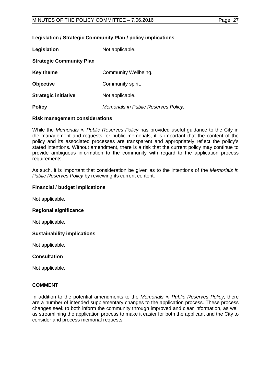#### **Legislation / Strategic Community Plan / policy implications**

| Legislation                     | Not applicable.                      |  |
|---------------------------------|--------------------------------------|--|
| <b>Strategic Community Plan</b> |                                      |  |
| Key theme                       | Community Wellbeing.                 |  |
| <b>Objective</b>                | Community spirit.                    |  |
| <b>Strategic initiative</b>     | Not applicable.                      |  |
| <b>Policy</b>                   | Memorials in Public Reserves Policy. |  |

#### **Risk management considerations**

While the *Memorials in Public Reserves Policy* has provided useful guidance to the City in the management and requests for public memorials, it is important that the content of the policy and its associated processes are transparent and appropriately reflect the policy's stated intentions. Without amendment, there is a risk that the current policy may continue to provide ambiguous information to the community with regard to the application process requirements.

As such, it is important that consideration be given as to the intentions of the *Memorials in Public Reserves Policy* by reviewing its current content.

#### **Financial / budget implications**

Not applicable.

#### **Regional significance**

Not applicable.

#### **Sustainability implications**

Not applicable.

#### **Consultation**

Not applicable.

#### **COMMENT**

In addition to the potential amendments to the *Memorials in Public Reserves Policy*, there are a number of intended supplementary changes to the application process. These process changes seek to both inform the community through improved and clear information, as well as streamlining the application process to make it easier for both the applicant and the City to consider and process memorial requests.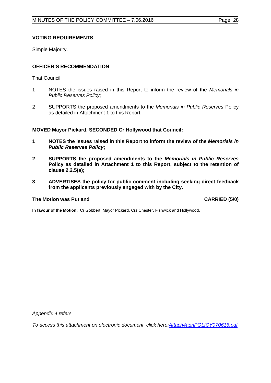# **VOTING REQUIREMENTS**

Simple Majority.

# **OFFICER'S RECOMMENDATION**

That Council:

- 1 NOTES the issues raised in this Report to inform the review of the *Memorials in Public Reserves Policy*;
- 2 SUPPORTS the proposed amendments to the *Memorials in Public Reserves* Policy as detailed in Attachment 1 to this Report.

**MOVED Mayor Pickard, SECONDED Cr Hollywood that Council:** 

- **1 NOTES the issues raised in this Report to inform the review of the** *Memorials in Public Reserves Policy***;**
- **2 SUPPORTS the proposed amendments to the** *Memorials in Public Reserves*  **Policy as detailed in Attachment 1 to this Report, subject to the retention of clause 2.2.5(a);**
- **3 ADVERTISES the policy for public comment including seeking direct feedback from the applicants previously engaged with by the City.**

#### **The Motion was Put and CARRIED (5/0)**

**In favour of the Motion:** Cr Gobbert, Mayor Pickard, Crs Chester, Fishwick and Hollywood.

*Appendix 4 refers*

*[To access this attachment on electronic document, click here:Attach4agnPOLICY070616.pdf](http://www.joondalup.wa.gov.au/files/committees/POLI/2016/Attach4agnPOLICY070616.pdf)*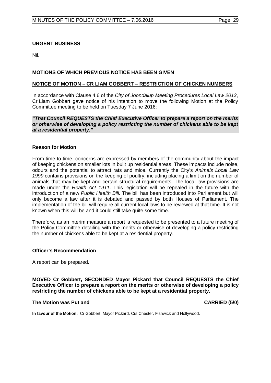# <span id="page-28-0"></span>**URGENT BUSINESS**

Nil.

# <span id="page-28-1"></span>**MOTIONS OF WHICH PREVIOUS NOTICE HAS BEEN GIVEN**

#### **NOTICE OF MOTION – CR LIAM GOBBERT – RESTRICTION OF CHICKEN NUMBERS**

In accordance with Clause 4.6 of the *City of Joondalup Meeting Procedures Local Law 2013*, Cr Liam Gobbert gave notice of his intention to move the following Motion at the Policy Committee meeting to be held on Tuesday 7 June 2016:

#### *"That Council REQUESTS the Chief Executive Officer to prepare a report on the merits or otherwise of developing a policy restricting the number of chickens able to be kept at a residential property."*

#### **Reason for Motion**

From time to time, concerns are expressed by members of the community about the impact of keeping chickens on smaller lots in built up residential areas. These impacts include noise, odours and the potential to attract rats and mice. Currently the City's *Animals Local Law 1999* contains provisions on the keeping of poultry, including placing a limit on the number of animals that may be kept and certain structural requirements. The local law provisions are made under the *Health Act 1911*. This legislation will be repealed in the future with the introduction of a new *Public Health Bill.* The bill has been introduced into Parliament but will only become a law after it is debated and passed by both Houses of Parliament. The implementation of the bill will require all current local laws to be reviewed at that time. It is not known when this will be and it could still take quite some time.

Therefore, as an interim measure a report is requested to be presented to a future meeting of the Policy Committee detailing with the merits or otherwise of developing a policy restricting the number of chickens able to be kept at a residential property.

#### **Officer's Recommendation**

A report can be prepared.

**MOVED Cr Gobbert, SECONDED Mayor Pickard that Council REQUESTS the Chief Executive Officer to prepare a report on the merits or otherwise of developing a policy restricting the number of chickens able to be kept at a residential property.**

#### **The Motion was Put and CARRIED (5/0)**

**In favour of the Motion:** Cr Gobbert, Mayor Pickard, Crs Chester, Fishwick and Hollywood.